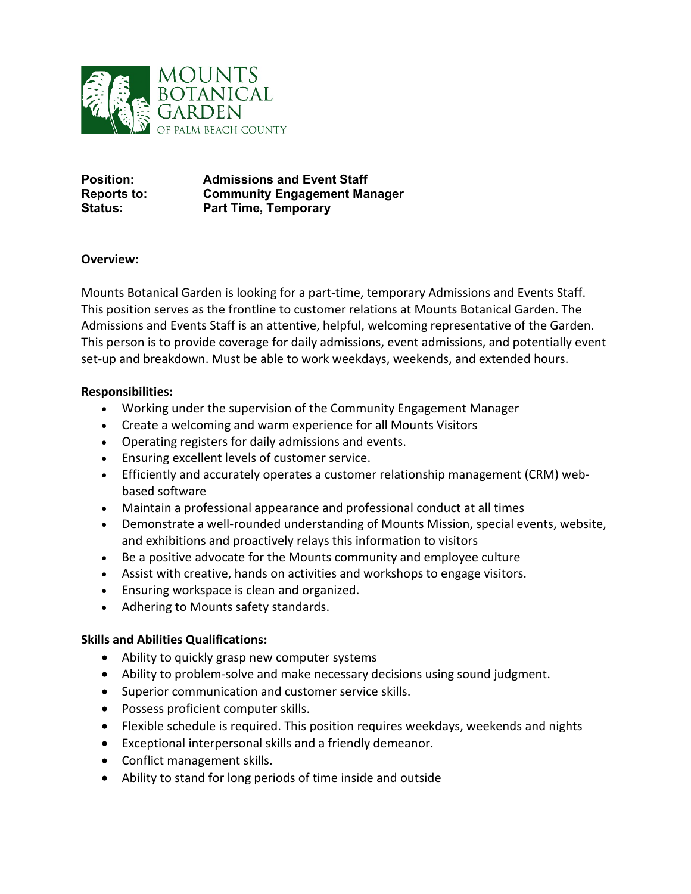

**Position: Admissions and Event Staff Reports to: Community Engagement Manager Status: Part Time, Temporary**

## **Overview:**

Mounts Botanical Garden is looking for a part-time, temporary Admissions and Events Staff. This position serves as the frontline to customer relations at Mounts Botanical Garden. The Admissions and Events Staff is an attentive, helpful, welcoming representative of the Garden. This person is to provide coverage for daily admissions, event admissions, and potentially event set-up and breakdown. Must be able to work weekdays, weekends, and extended hours.

## **Responsibilities:**

- Working under the supervision of the Community Engagement Manager
- Create a welcoming and warm experience for all Mounts Visitors
- Operating registers for daily admissions and events.
- Ensuring excellent levels of customer service.
- Efficiently and accurately operates a customer relationship management (CRM) webbased software
- Maintain a professional appearance and professional conduct at all times
- Demonstrate a well-rounded understanding of Mounts Mission, special events, website, and exhibitions and proactively relays this information to visitors
- Be a positive advocate for the Mounts community and employee culture
- Assist with creative, hands on activities and workshops to engage visitors.
- Ensuring workspace is clean and organized.
- Adhering to Mounts safety standards.

# **Skills and Abilities Qualifications:**

- Ability to quickly grasp new computer systems
- Ability to problem-solve and make necessary decisions using sound judgment.
- Superior communication and customer service skills.
- Possess proficient computer skills.
- Flexible schedule is required. This position requires weekdays, weekends and nights
- Exceptional interpersonal skills and a friendly demeanor.
- Conflict management skills.
- Ability to stand for long periods of time inside and outside